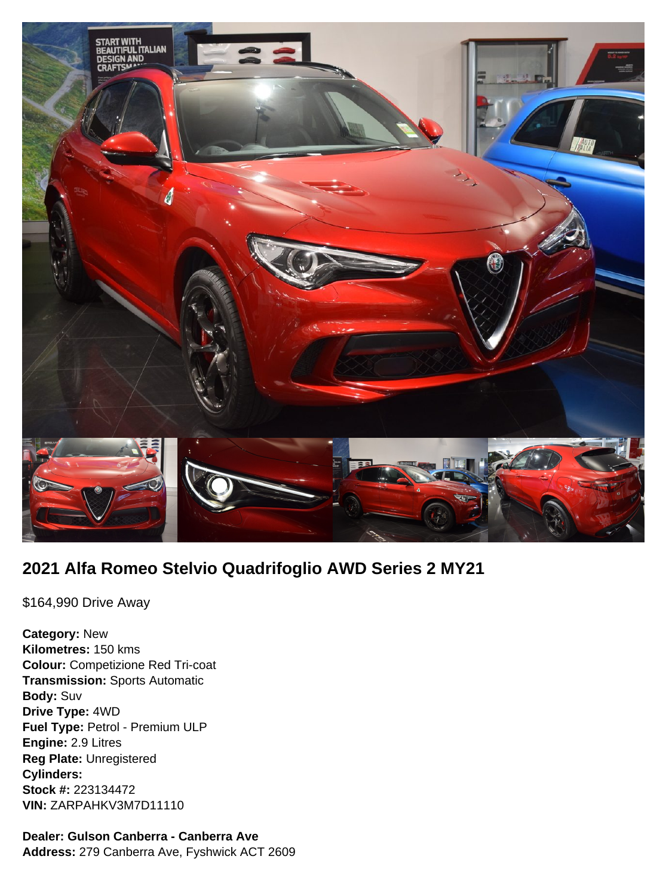

## **2021 Alfa Romeo Stelvio Quadrifoglio AWD Series 2 MY21**

\$164,990 Drive Away

**Category:** New **Kilometres:** 150 kms **Colour:** Competizione Red Tri-coat **Transmission:** Sports Automatic **Body:** Suv **Drive Type:** 4WD **Fuel Type:** Petrol - Premium ULP **Engine:** 2.9 Litres **Reg Plate:** Unregistered **Cylinders: Stock #:** 223134472 **VIN:** ZARPAHKV3M7D11110

# **Dealer: Gulson Canberra - Canberra Ave**

**Address:** 279 Canberra Ave, Fyshwick ACT 2609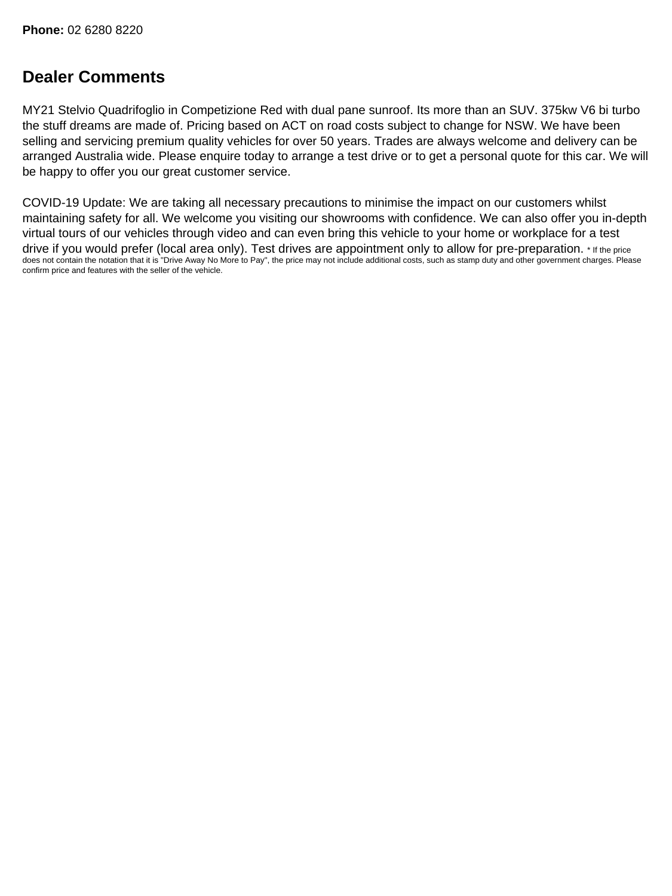## **Dealer Comments**

MY21 Stelvio Quadrifoglio in Competizione Red with dual pane sunroof. Its more than an SUV. 375kw V6 bi turbo the stuff dreams are made of. Pricing based on ACT on road costs subject to change for NSW. We have been selling and servicing premium quality vehicles for over 50 years. Trades are always welcome and delivery can be arranged Australia wide. Please enquire today to arrange a test drive or to get a personal quote for this car. We will be happy to offer you our great customer service.

COVID-19 Update: We are taking all necessary precautions to minimise the impact on our customers whilst maintaining safety for all. We welcome you visiting our showrooms with confidence. We can also offer you in-depth virtual tours of our vehicles through video and can even bring this vehicle to your home or workplace for a test drive if you would prefer (local area only). Test drives are appointment only to allow for pre-preparation. \* If the price does not contain the notation that it is "Drive Away No More to Pay", the price may not include additional costs, such as stamp duty and other government charges. Please confirm price and features with the seller of the vehicle.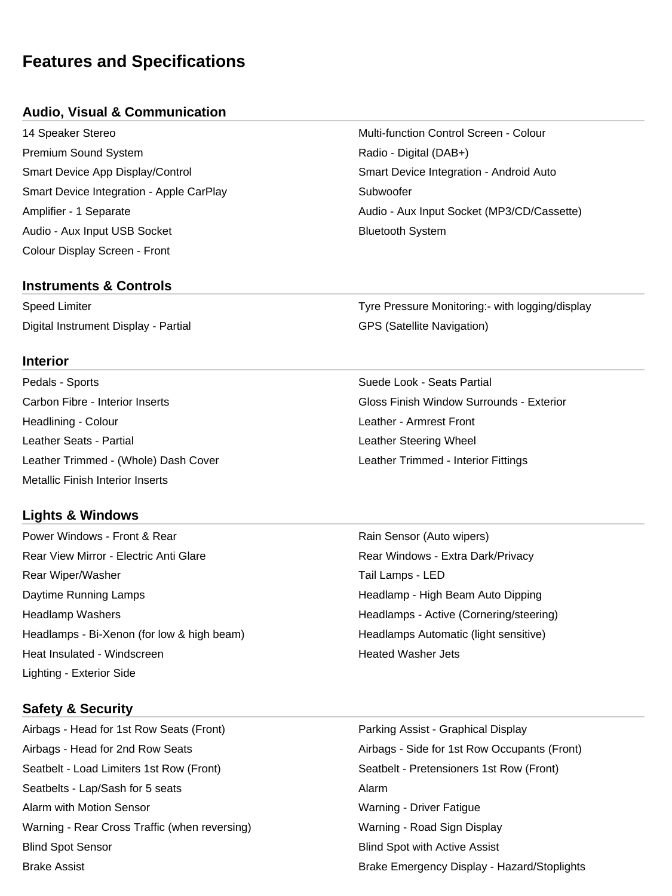### **Features and Specifications**

#### **Audio, Visual & Communication**

14 Speaker Stereo Multi-function Control Screen - Colour Premium Sound System **Accord 2012 Radio - Digital (DAB+)** Smart Device App Display/Control Smart Device Integration - Android Auto Smart Device Integration - Apple CarPlay Subwoofer Audio - Aux Input USB Socket Bluetooth System Colour Display Screen - Front

#### **Instruments & Controls**

Digital Instrument Display - Partial GPS (Satellite Navigation)

#### **Interior**

Pedals - Sports Suede Look - Seats Partial Headlining - Colour Leather - Armrest Front Leather Seats - Partial Leather Steering Wheel Leather Trimmed - (Whole) Dash Cover Leather Trimmed - Interior Fittings Metallic Finish Interior Inserts

#### **Lights & Windows**

Power Windows - Front & Rear **Rain Sensor (Auto wipers)** Rain Sensor (Auto wipers) Rear View Mirror - Electric Anti Glare **Rear Windows - Extra Dark/Privacy** Rear Wiper/Washer Tail Lamps - LED Daytime Running Lamps **Headlamp - High Beam Auto Dipping** High Beam Auto Dipping Headlamp Washers **Headlamps - Active (Cornering/steering)** Headlamps - Active (Cornering/steering) Headlamps - Bi-Xenon (for low & high beam) Headlamps Automatic (light sensitive) Heat Insulated - Windscreen **Heated Washer Jets Heated Washer Jets** Lighting - Exterior Side

# Amplifier - 1 Separate Australian Control of Audio - Aux Input Socket (MP3/CD/Cassette)

Speed Limiter Tyre Pressure Monitoring:- with logging/display

Carbon Fibre - Interior Inserts Gloss Finish Window Surrounds - Exterior

#### **Safety & Security**

Airbags - Head for 1st Row Seats (Front) Parking Assist - Graphical Display Airbags - Head for 2nd Row Seats Airbags - Side for 1st Row Occupants (Front) Seatbelt - Load Limiters 1st Row (Front) Seatbelt - Pretensioners 1st Row (Front) Seatbelts - Lap/Sash for 5 seats Alarm Alarm with Motion Sensor Warning - Driver Fatigue Warning - Rear Cross Traffic (when reversing) Warning - Road Sign Display Blind Spot Sensor Blind Spot with Active Assist Brake Assist Brake Emergency Display - Hazard/Stoplights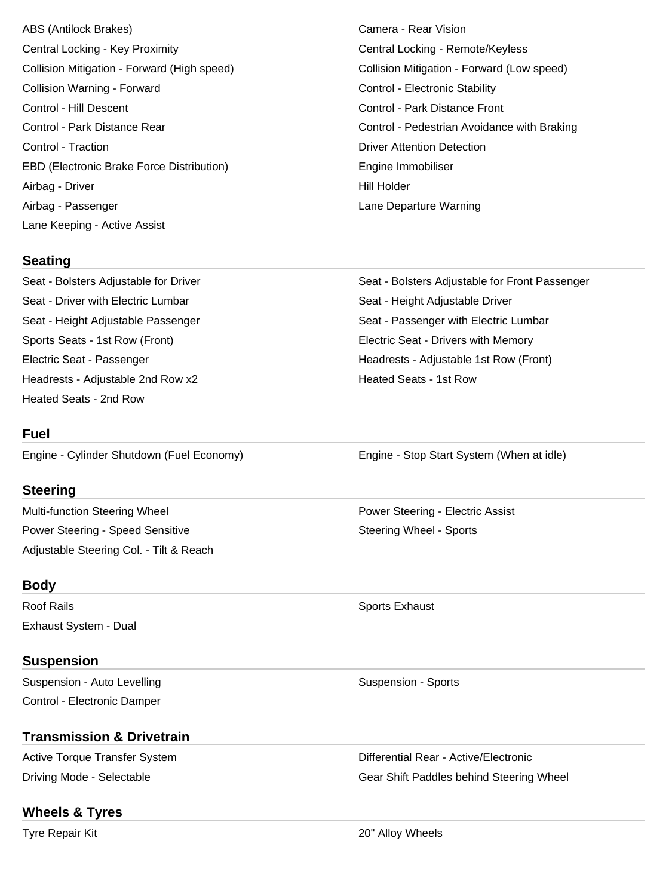ABS (Antilock Brakes) Camera - Rear Vision Central Locking - Key Proximity Central Locking - Remote/Keyless Collision Mitigation - Forward (High speed) Collision Mitigation - Forward (Low speed) Collision Warning - Forward **Control - Electronic Stability** Control - Electronic Stability Control - Hill Descent Control - Park Distance Front Control - Traction **Control - Traction** Detection Detection Detection EBD (Electronic Brake Force Distribution) The Engine Immobiliser Airbag - Driver **Hill Holder** Airbag - Passenger Lane Departure Warning Lane Keeping - Active Assist

Control - Park Distance Rear Control - Pedestrian Avoidance with Braking

#### **Seating**

Seat - Driver with Electric Lumbar Seat - Height Adjustable Driver Sports Seats - 1st Row (Front) Electric Seat - Drivers with Memory Headrests - Adjustable 2nd Row x2 Heated Seats - 1st Row Heated Seats - 2nd Row

#### **Fuel**

Engine - Cylinder Shutdown (Fuel Economy) Engine - Stop Start System (When at idle)

#### **Steering**

Multi-function Steering Wheel **Power Steering - Electric Assist** Power Steering - Speed Sensitive Steering Wheel - Sports Adjustable Steering Col. - Tilt & Reach

#### **Body**

Roof Rails **No. 2018 Roof Rails** Sports Exhaust **No. 2018 Sports Exhaust** Exhaust System - Dual

#### **Suspension**

Suspension - Auto Levelling Suspension - Sports Control - Electronic Damper

#### **Transmission & Drivetrain**

#### **Wheels & Tyres**

Seat - Bolsters Adjustable for Driver Seat - Bolsters Adjustable for Front Passenger Seat - Height Adjustable Passenger Seat - Passenger with Electric Lumbar Electric Seat - Passenger Headrests - Adjustable 1st Row (Front)

Active Torque Transfer System **Differential Rear - Active/Electronic** Driving Mode - Selectable Gear Shift Paddles behind Steering Wheel

Tyre Repair Kit 20" Alloy Wheels